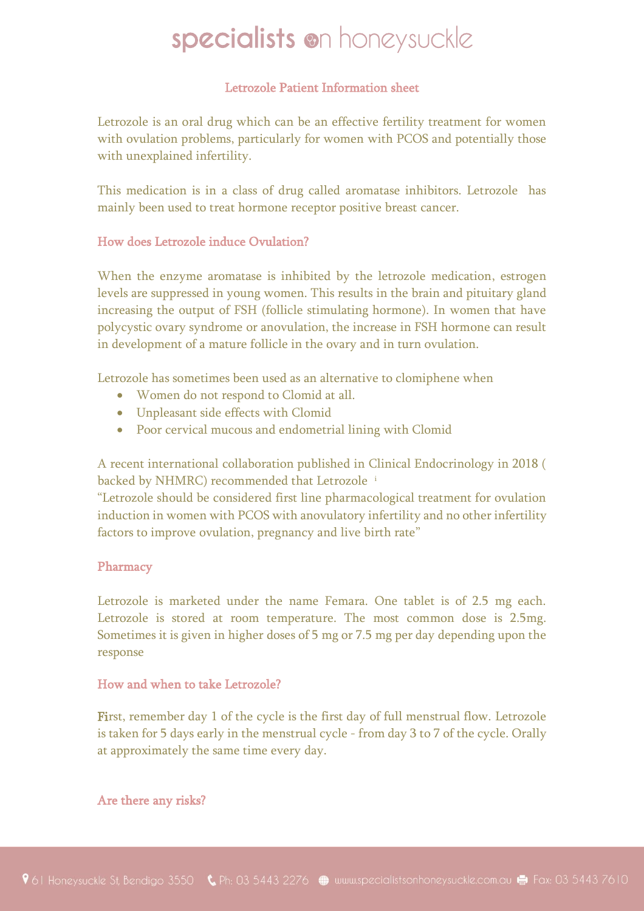## Letrozole Patient Information sheet

Letrozole is an oral drug which can be an effective fertility treatment for women with ovulation problems, particularly for women with PCOS and potentially those with unexplained infertility.

This medication is in a class of drug called aromatase inhibitors. Letrozole has mainly been used to treat hormone receptor positive breast cancer.

### How does Letrozole induce Ovulation?

When the enzyme aromatase is inhibited by the letrozole medication, estrogen levels are suppressed in young women. This results in the brain and pituitary gland increasing the output of FSH (follicle stimulating hormone). In women that have polycystic ovary syndrome or anovulation, the increase in FSH hormone can result in development of a mature follicle in the ovary and in turn ovulation.

Letrozole has sometimes been used as an alternative to clomiphene when

- Women do not respond to Clomid at all.
- Unpleasant side effects with Clomid
- Poor cervical mucous and endometrial lining with Clomid

A recent international collaboration published in Clinical Endocrinology in 2018 ( backed by NHMRC) recommended that Letrozole<sup>i</sup>

"Letrozole should be considered first line pharmacological treatment for ovulation induction in women with PCOS with anovulatory infertility and no other infertility factors to improve ovulation, pregnancy and live birth rate"

#### Pharmacy

Letrozole is marketed under the name Femara. One tablet is of 2.5 mg each. Letrozole is stored at room temperature. The most common dose is 2.5mg. Sometimes it is given in higher doses of 5 mg or 7.5 mg per day depending upon the response

### How and when to take Letrozole?

First, remember day 1 of the cycle is the first day of full menstrual flow. Letrozole is taken for 5 days early in the menstrual cycle - from day 3 to 7 of the cycle. Orally at approximately the same time every day.

Are there any risks?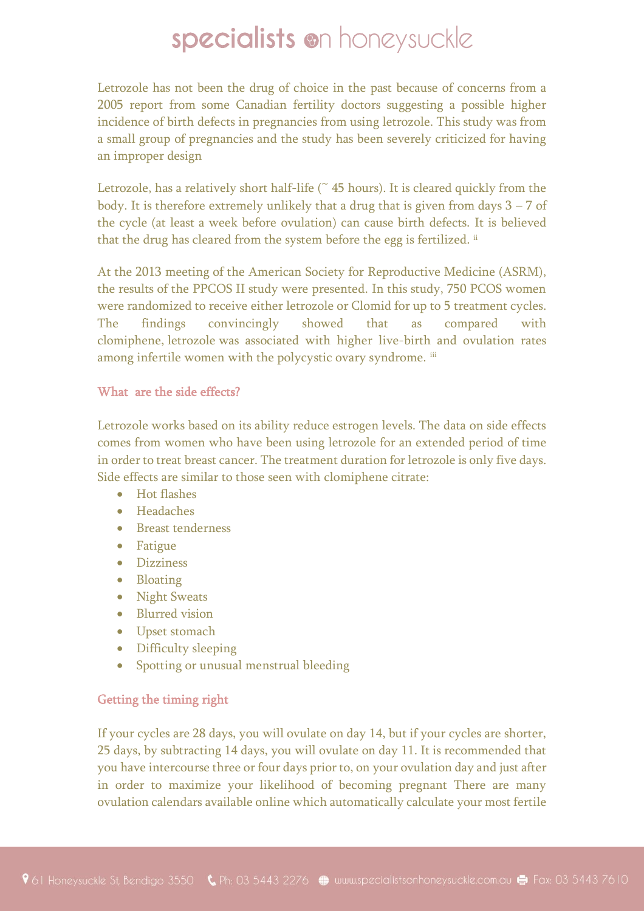Letrozole has not been the drug of choice in the past because of concerns from a 2005 report from some Canadian fertility doctors suggesting a possible higher incidence of birth defects in pregnancies from using letrozole. This study was from a small group of pregnancies and the study has been severely criticized for having an improper design

Letrozole, has a relatively short half-life  $($   $\tilde{ }$  45 hours). It is cleared quickly from the body. It is therefore extremely unlikely that a drug that is given from days  $3 - 7$  of the cycle (at least a week before ovulation) can cause birth defects. It is believed that the drug has cleared from the system before the egg is fertilized. ii

At the 2013 meeting of the American Society for Reproductive Medicine (ASRM), the results of the PPCOS II study were presented. In this study, 750 PCOS women were randomized to receive either letrozole or Clomid for up to 5 treatment cycles. The findings convincingly showed that as compared with clomiphene, letrozole was associated with higher live-birth and ovulation rates among infertile women with the polycystic ovary syndrome. iii

## What are the side effects?

Letrozole works based on its ability reduce estrogen levels. The data on side effects comes from women who have been using letrozole for an extended period of time in order to treat breast cancer. The treatment duration for letrozole is only five days. Side effects are similar to those seen with clomiphene citrate:

- Hot flashes
- Headaches
- Breast tenderness
- Fatigue
- Dizziness
- Bloating
- Night Sweats
- Blurred vision
- Upset stomach
- Difficulty sleeping
- Spotting or unusual menstrual bleeding

## Getting the timing right

If your cycles are 28 days, you will ovulate on day 14, but if your cycles are shorter, 25 days, by subtracting 14 days, you will ovulate on day 11. It is recommended that you have intercourse three or four days prior to, on your ovulation day and just after in order to maximize your likelihood of becoming pregnant There are many ovulation calendars available online which automatically calculate your most fertile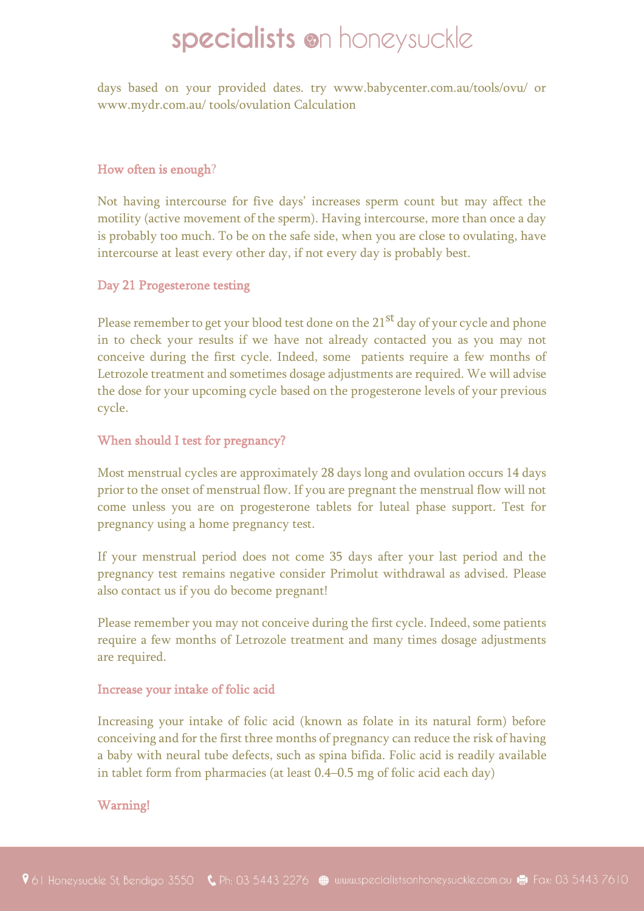days based on your provided dates. try www.babycenter.com.au/tools/ovu/ or www.mydr.com.au/ tools/ovulation Calculation

## How often is enough?

Not having intercourse for five days' increases sperm count but may affect the motility (active movement of the sperm). Having intercourse, more than once a day is probably too much. To be on the safe side, when you are close to ovulating, have intercourse at least every other day, if not every day is probably best.

#### Day 21 Progesterone testing

Please remember to get your blood test done on the 21<sup>st</sup> day of your cycle and phone in to check your results if we have not already contacted you as you may not conceive during the first cycle. Indeed, some patients require a few months of Letrozole treatment and sometimes dosage adjustments are required. We will advise the dose for your upcoming cycle based on the progesterone levels of your previous cycle.

### When should I test for pregnancy?

Most menstrual cycles are approximately 28 days long and ovulation occurs 14 days prior to the onset of menstrual flow. If you are pregnant the menstrual flow will not come unless you are on progesterone tablets for luteal phase support. Test for pregnancy using a home pregnancy test.

If your menstrual period does not come 35 days after your last period and the pregnancy test remains negative consider Primolut withdrawal as advised. Please also contact us if you do become pregnant!

Please remember you may not conceive during the first cycle. Indeed, some patients require a few months of Letrozole treatment and many times dosage adjustments are required.

#### Increase your intake of folic acid

Increasing your intake of folic acid (known as folate in its natural form) before conceiving and for the first three months of pregnancy can reduce the risk of having a baby with neural tube defects, such as spina bifida. Folic acid is readily available in tablet form from pharmacies (at least 0.4–0.5 mg of folic acid each day)

## Warning!